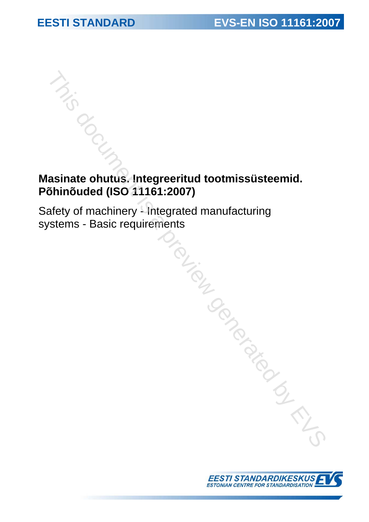# **Masinate ohutus. Integreeritud tootmissüsteemid.**<br> **Masinate ohutus. Integreeritud tootmissüsteemid. Põhinõuded (ISO 11161:2007)**

Safety of machinery - Integrated manufacturing systems - Basic requirements nts or during the contractor of the contractor of the contractor of the contractor of the contractor of the contractor of the contractor of the contractor of the contractor of the contractor of the contractor of the contra

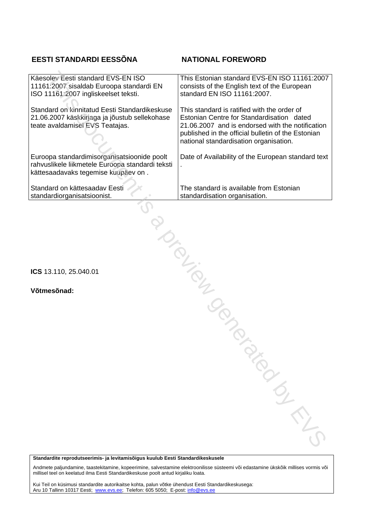# **EESTI STANDARDI EESSÕNA NATIONAL FOREWORD**

| Käesolev Eesti standard EVS-EN ISO<br>11161:2007 sisaldab Euroopa standardi EN<br>ISO 11161:2007 ingliskeelset teksti.                 | This Estonian standard EVS-EN ISO 11161:2007<br>consists of the English text of the European<br>standard EN ISO 11161:2007.                                                                                                                  |  |
|----------------------------------------------------------------------------------------------------------------------------------------|----------------------------------------------------------------------------------------------------------------------------------------------------------------------------------------------------------------------------------------------|--|
| Standard on kinnitatud Eesti Standardikeskuse<br>21.06.2007 käskkirjaga ja jõustub sellekohase<br>teate avaldamisel EVS Teatajas.      | This standard is ratified with the order of<br>Estonian Centre for Standardisation dated<br>21.06.2007 and is endorsed with the notification<br>published in the official bulletin of the Estonian<br>national standardisation organisation. |  |
| Euroopa standardimisorganisatsioonide poolt<br>rahvuslikele liikmetele Euroopa standardi teksti<br>kättesaadavaks tegemise kuupäev on. | Date of Availability of the European standard text                                                                                                                                                                                           |  |
| Standard on kättesaadav Eesti<br>standardiorganisatsioonist.                                                                           | The standard is available from Estonian<br>standardisation organisation.                                                                                                                                                                     |  |
| January 10<br>ICS 13.110, 25.040.01                                                                                                    |                                                                                                                                                                                                                                              |  |
| Võtmesõnad:                                                                                                                            |                                                                                                                                                                                                                                              |  |
|                                                                                                                                        |                                                                                                                                                                                                                                              |  |
|                                                                                                                                        | PASSION TON                                                                                                                                                                                                                                  |  |
|                                                                                                                                        |                                                                                                                                                                                                                                              |  |

**Standardite reprodutseerimis- ja levitamisõigus kuulub Eesti Standardikeskusele** 

Andmete paljundamine, taastekitamine, kopeerimine, salvestamine elektroonilisse süsteemi või edastamine ükskõik millises vormis või millisel teel on keelatud ilma Eesti Standardikeskuse poolt antud kirjaliku loata.

Kui Teil on küsimusi standardite autorikaitse kohta, palun võtke ühendust Eesti Standardikeskusega: Aru 10 Tallinn 10317 Eesti; www.evs.ee; Telefon: 605 5050; E-post: info@evs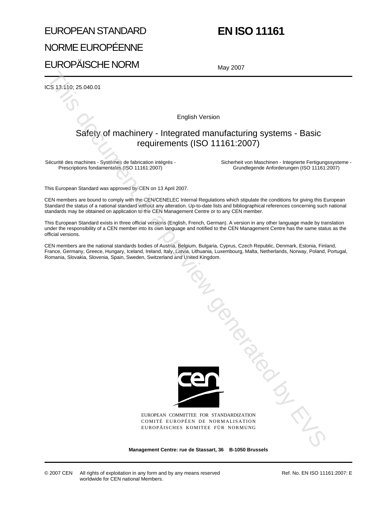# EUROPEAN STANDARD NORME EUROPÉENNE EUROPÄISCHE NORM

# **EN ISO 11161**

May 2007

ICS 13.110; 25.040.01

English Version

# Safety of machinery - Integrated manufacturing systems - Basic requirements (ISO 11161:2007)

Sécurité des machines - Systèmes de fabrication intégrés - Prescriptions fondamentales (ISO 11161:2007)

Sicherheit von Maschinen - Integrierte Fertigungssysteme - Grundlegende Anforderungen (ISO 11161:2007)

This European Standard was approved by CEN on 13 April 2007.

CEN members are bound to comply with the CEN/CENELEC Internal Regulations which stipulate the conditions for giving this European Standard the status of a national standard without any alteration. Up-to-date lists and bibliographical references concerning such national standards may be obtained on application to the CEN Management Centre or to any CEN member.

This European Standard exists in three official versions (English, French, German). A version in any other language made by translation under the responsibility of a CEN member into its own language and notified to the CEN Management Centre has the same status as the official versions.

CEN members are the national standards bodies of Austria, Belgium, Bulgaria, Cyprus, Czech Republic, Denmark, Estonia, Finland, France, Germany, Greece, Hungary, Iceland, Ireland, Italy, Latvia, Lithuania, Luxembourg, Malta, Netherlands, Norway, Poland, Portugal, Romania, Slovakia, Slovenia, Spain, Sweden, Switzerland and United Kingdom.



EUROPEAN COMMITTEE FOR STANDARDIZATION COMITÉ EUROPÉEN DE NORMALISATION EUROPÄISCHES KOMITEE FÜR NORMUNG Tanguay Created

**Management Centre: rue de Stassart, 36 B-1050 Brussels**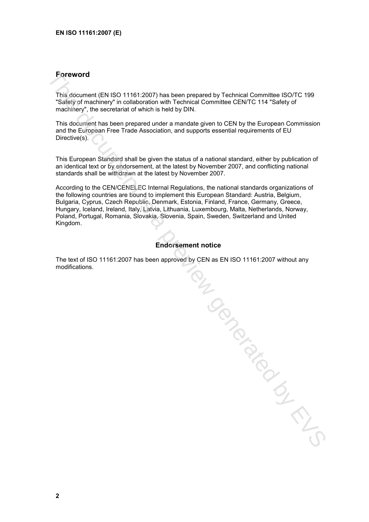# **Foreword**

This document (EN ISO 11161:2007) has been prepared by Technical Committee ISO/TC 199 "Safety of machinery" in collaboration with Technical Committee CEN/TC 114 "Safety of machinery", the secretariat of which is held by DIN.

This document has been prepared under a mandate given to CEN by the European Commission and the European Free Trade Association, and supports essential requirements of EU Directive(s).

This European Standard shall be given the status of a national standard, either by publication of an identical text or by endorsement, at the latest by November 2007, and conflicting national standards shall be withdrawn at the latest by November 2007.

According to the CEN/CENELEC Internal Regulations, the national standards organizations of the following countries are bound to implement this European Standard: Austria, Belgium, Bulgaria, Cyprus, Czech Republic, Denmark, Estonia, Finland, France, Germany, Greece, Hungary, Iceland, Ireland, Italy, Latvia, Lithuania, Luxembourg, Malta, Netherlands, Norway, Poland, Portugal, Romania, Slovakia, Slovenia, Spain, Sweden, Switzerland and United Kingdom.

# **Endorsement notice**

The text of ISO 11161:2007 has been approved by CEN as EN ISO 11161:2007 without any The text of ISO 11161:2007 has been approved by CEN as EN ISO 11161:2007 was well.<br>
modifications.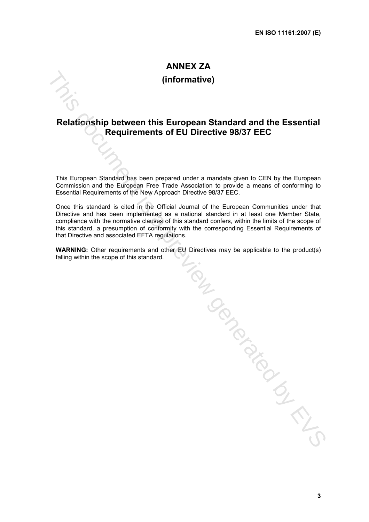# **ANNEX ZA**

**(informative)** 

# **Relationship between this European Standard and the Essential Requirements of EU Directive 98/37 EEC**

This European Standard has been prepared under a mandate given to CEN by the European Commission and the European Free Trade Association to provide a means of conforming to Essential Requirements of the New Approach Directive 98/37 EEC.

Once this standard is cited in the Official Journal of the European Communities under that Directive and has been implemented as a national standard in at least one Member State, compliance with the normative clauses of this standard confers, within the limits of the scope of this standard, a presumption of conformity with the corresponding Essential Requirements of that Directive and associated EFTA regulations.

**WARNING:** Other requirements and other EU Directives may be applicable to the product(s)

falling within the scope of this standard. We see the standard. We see the standard. We see the standard.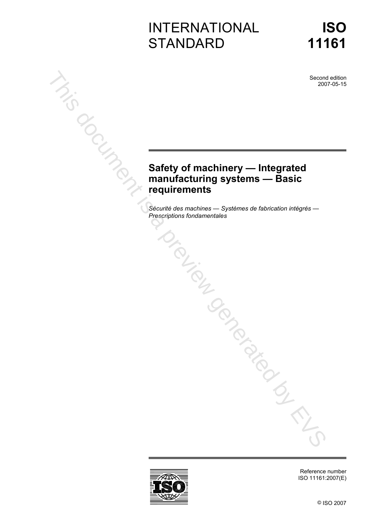# INTERNATIONAL **STANDARD**

Second edition 2007-05-15

# **Safety of machinery — Integrated Manufacturing systems — Basic manufacturing systems — Basic requirements Property of machinery — Integrated manufacturing systems — Basic**<br> **Prescriptions for machiners — Systems do fabrication integres —**<br>
Prescriptions for machines — Systems do fabrication integres —<br>
Prescriptions for machi

*Sécurité des machines — Systèmes de fabrication intégrés —* 



Reference number ISO 11161:2007(E)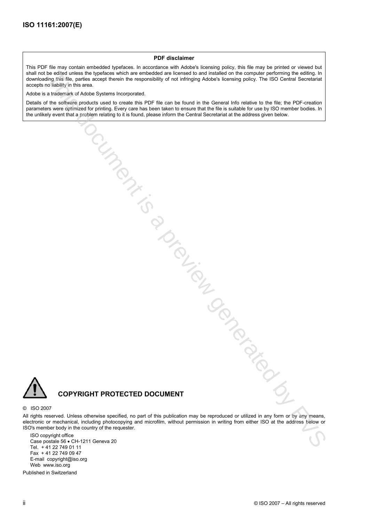#### **PDF disclaimer**

This PDF file may contain embedded typefaces. In accordance with Adobe's licensing policy, this file may be printed or viewed but shall not be edited unless the typefaces which are embedded are licensed to and installed on the computer performing the editing. In downloading this file, parties accept therein the responsibility of not infringing Adobe's licensing policy. The ISO Central Secretariat accepts no liability in this area. the substantial three contents which are entertoined in the content of the computer section property and the content<br>of the substantial of Addis Polytein into the contents of the content of the content of the content of th

Adobe is a trademark of Adobe Systems Incorporated.

Details of the software products used to create this PDF file can be found in the General Info relative to the file; the PDF-creation parameters were optimized for printing. Every care has been taken to ensure that the file is suitable for use by ISO member bodies. In the unlikely event that a problem relating to it is found, please inform the Central Secretariat at the address given below.



# **COPYRIGHT PROTECTED DOCUMENT**

#### © ISO 2007

All rights reserved. Unless otherwise specified, no part of this publication may be reproduced or utilized in any form or by any means, electronic or mechanical, including photocopying and microfilm, without permission in writing from either ISO at the address below or ISO's member body in the country of the requester.

ISO copyright office Case postale 56 • CH-1211 Geneva 20 Tel. + 41 22 749 01 11 Fax + 41 22 749 09 47 E-mail copyright@iso.org Web www.iso.org

Published in Switzerland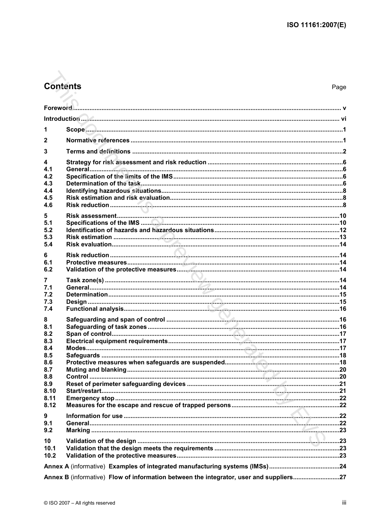# **Contents**

Page

| 1                     |                                                                                        |  |
|-----------------------|----------------------------------------------------------------------------------------|--|
| $\mathbf{2}$          |                                                                                        |  |
| $\overline{3}$        |                                                                                        |  |
| 4<br>4.1              |                                                                                        |  |
| 4.2                   |                                                                                        |  |
| 4.3<br>4.4            |                                                                                        |  |
| 4.5                   |                                                                                        |  |
| 4.6                   |                                                                                        |  |
| 5.                    |                                                                                        |  |
| 5.1<br>5.2            |                                                                                        |  |
| 5.3                   |                                                                                        |  |
| 5.4                   |                                                                                        |  |
| 6                     |                                                                                        |  |
| 6.1<br>6.2            |                                                                                        |  |
|                       |                                                                                        |  |
| $\overline{7}$<br>7.1 |                                                                                        |  |
| 7.2                   |                                                                                        |  |
| 7.3                   |                                                                                        |  |
| 7.4                   |                                                                                        |  |
| 8<br>8.1              |                                                                                        |  |
| 8.2                   |                                                                                        |  |
| 8.3                   |                                                                                        |  |
| 8.4<br>8.5            |                                                                                        |  |
| 8.6                   |                                                                                        |  |
| 8.7                   |                                                                                        |  |
| 8.8<br>8.9            | Control.                                                                               |  |
| 8.10                  |                                                                                        |  |
| 8.11                  |                                                                                        |  |
| 8.12                  |                                                                                        |  |
| 9                     |                                                                                        |  |
| 9.1<br>9.2            |                                                                                        |  |
| 10                    |                                                                                        |  |
| 10.1                  |                                                                                        |  |
| 10.2                  |                                                                                        |  |
|                       |                                                                                        |  |
|                       | Annex B (informative) Flow of information between the integrator, user and suppliers27 |  |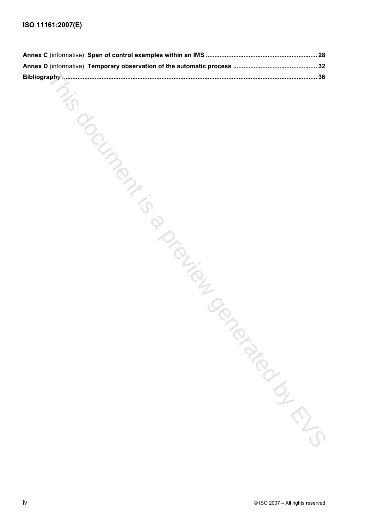| OUTINGS    |
|------------|
|            |
|            |
| TOL-ION    |
|            |
| TONDED TON |
|            |
|            |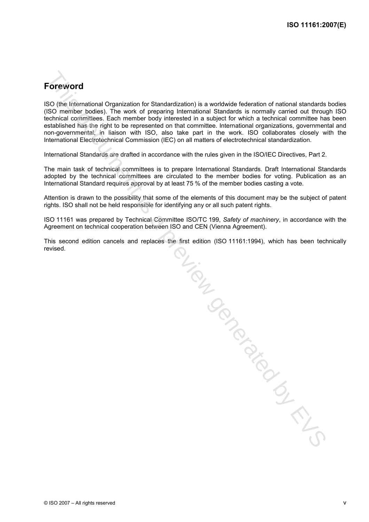# **Foreword**

ISO (the International Organization for Standardization) is a worldwide federation of national standards bodies (ISO member bodies). The work of preparing International Standards is normally carried out through ISO technical committees. Each member body interested in a subject for which a technical committee has been established has the right to be represented on that committee. International organizations, governmental and non-governmental, in liaison with ISO, also take part in the work. ISO collaborates closely with the International Electrotechnical Commission (IEC) on all matters of electrotechnical standardization.

International Standards are drafted in accordance with the rules given in the ISO/IEC Directives, Part 2.

The main task of technical committees is to prepare International Standards. Draft International Standards adopted by the technical committees are circulated to the member bodies for voting. Publication as an International Standard requires approval by at least 75 % of the member bodies casting a vote.

Attention is drawn to the possibility that some of the elements of this document may be the subject of patent rights. ISO shall not be held responsible for identifying any or all such patent rights.

ISO 11161 was prepared by Technical Committee ISO/TC 199, *Safety of machinery*, in accordance with the Agreement on technical cooperation between ISO and CEN (Vienna Agreement).

This second edition cancels and replaces the first edition (ISO 11161:1994), which has been technically

This second edition cancels and replaces the first edition (ISO 11101.1994), with the content of the created.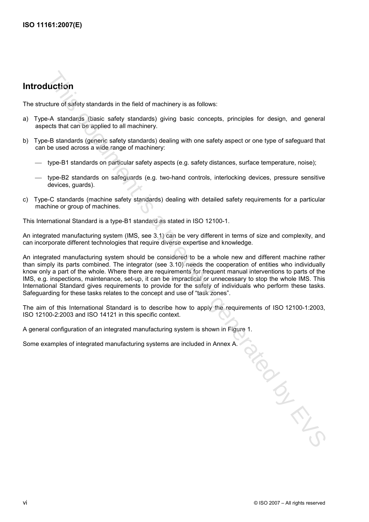# **Introduction**

The structure of safety standards in the field of machinery is as follows:

- a) Type-A standards (basic safety standards) giving basic concepts, principles for design, and general aspects that can be applied to all machinery.
- b) Type-B standards (generic safety standards) dealing with one safety aspect or one type of safeguard that can be used across a wide range of machinery:
	- ⎯ type-B1 standards on particular safety aspects (e.g. safety distances, surface temperature, noise);
	- ⎯ type-B2 standards on safeguards (e.g. two-hand controls, interlocking devices, pressure sensitive devices, guards).
- c) Type-C standards (machine safety standards) dealing with detailed safety requirements for a particular machine or group of machines.

This International Standard is a type-B1 standard as stated in ISO 12100-1.

An integrated manufacturing system (IMS, see 3.1) can be very different in terms of size and complexity, and can incorporate different technologies that require diverse expertise and knowledge.

An integrated manufacturing system should be considered to be a whole new and different machine rather than simply its parts combined. The integrator (see 3.10) needs the cooperation of entities who individually know only a part of the whole. Where there are requirements for frequent manual interventions to parts of the IMS, e.g. inspections, maintenance, set-up, it can be impractical or unnecessary to stop the whole IMS. This International Standard gives requirements to provide for the safety of individuals who perform these tasks. Safeguarding for these tasks relates to the concept and use of "task zones". Introduction<br>
So Type A standards (basic safety standards) giving basic concepts, principles for design, and general<br>
spects but enting sophied to all machinery.<br>
Some but the discussion safety standards (giving system sys

The aim of this International Standard is to describe how to apply the requirements of ISO 12100-1:2003, ISO 12100-2:2003 and ISO 14121 in this specific context.

A general configuration of an integrated manufacturing system is shown in Figure 1.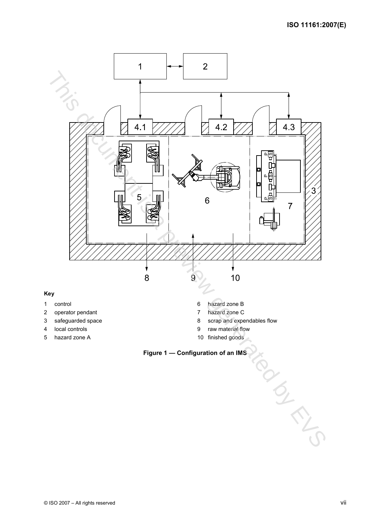

# **Key**

- 
- 2 operator pendant 12 operator pendant 12 operator pendant 12 operator 2 operator 2 operator 2 operator 2 operator 2 operator 2 operator 2 operator 2 operator 2 operator 2 operator 2 operator 2 operator 2 operator 2 operat
- 
- 
- 5 hazard zone A 10 finished goods
- 1 control 6 hazard zone B
	-
- 3 safeguarded space 8 scrap and expendables flow
- 4 local controls extending the state of the state of the state of the state of the state of the state of the state of the state of the state of the state of the state of the state of the state of the state of the state of
	-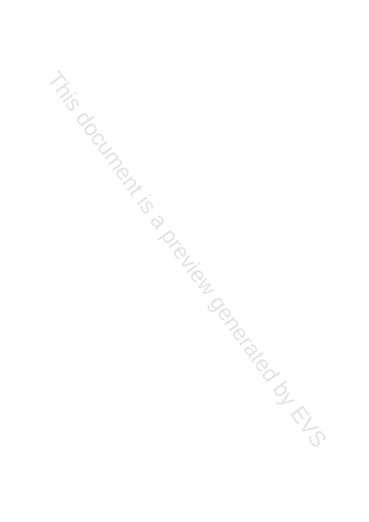This document is a preview generated by EV To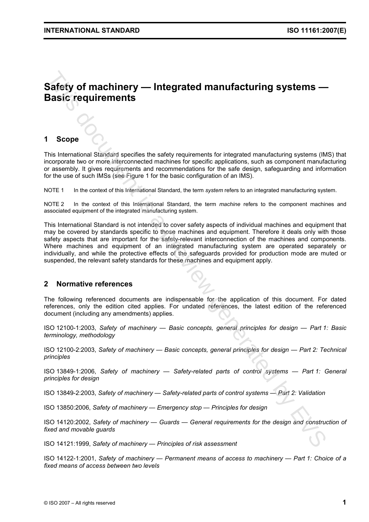# **Safety of machinery — Integrated manufacturing systems — Basic requirements**

# **1 Scope**

This International Standard specifies the safety requirements for integrated manufacturing systems (IMS) that incorporate two or more interconnected machines for specific applications, such as component manufacturing or assembly. It gives requirements and recommendations for the safe design, safeguarding and information for the use of such IMSs (see Figure 1 for the basic configuration of an IMS).

NOTE 1 In the context of this International Standard, the term *system* refers to an integrated manufacturing system.

NOTE 2 In the context of this International Standard, the term *machine* refers to the component machines and associated equipment of the integrated manufacturing system.

This International Standard is not intended to cover safety aspects of individual machines and equipment that may be covered by standards specific to those machines and equipment. Therefore it deals only with those safety aspects that are important for the safety-relevant interconnection of the machines and components. Where machines and equipment of an integrated manufacturing system are operated separately or individually, and while the protective effects of the safeguards provided for production mode are muted or suspended, the relevant safety standards for these machines and equipment apply. **Safety of machinery — Integrated manufacturing systems —<br>Basic requirements<br>
Saski requirements<br>
Scope<br>
Scope<br>
Six intermational standard specifies the safety requirements for integrated manufacturing systems (IM<br>
Instru** 

# **2 Normative references**

The following referenced documents are indispensable for the application of this document. For dated references, only the edition cited applies. For undated references, the latest edition of the referenced document (including any amendments) applies.

ISO 12100-1:2003, *Safety of machinery — Basic concepts, general principles for design — Part 1: Basic terminology, methodology*

ISO 12100-2:2003, *Safety of machinery — Basic concepts, general principles for design — Part 2: Technical principles*

ISO 13849-1:2006, *Safety of machinery — Safety-related parts of control systems — Part 1: General principles for design*

ISO 13849-2:2003, *Safety of machinery — Safety-related parts of control systems — Part 2: Validation*

ISO 13850:2006, *Safety of machinery — Emergency stop — Principles for design* 

ISO 14120:2002, *Safety of machinery — Guards — General requirements for the design and construction of fixed and movable guards*

ISO 14121:1999, *Safety of machinery — Principles of risk assessment*

ISO 14122-1:2001, *Safety of machinery — Permanent means of access to machinery — Part 1: Choice of a fixed means of access between two levels*